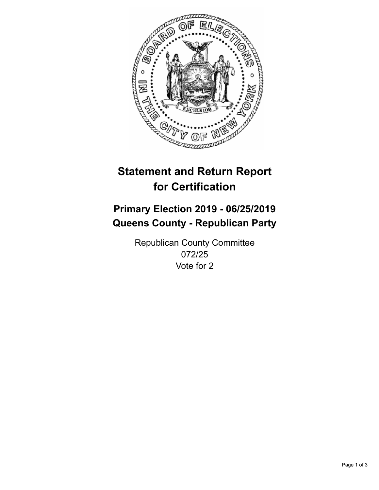

## **Statement and Return Report for Certification**

## **Primary Election 2019 - 06/25/2019 Queens County - Republican Party**

Republican County Committee 072/25 Vote for 2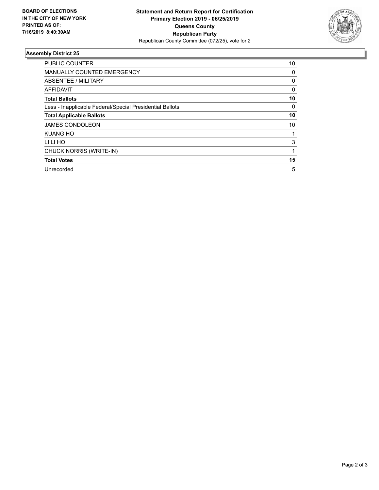

## **Assembly District 25**

| <b>PUBLIC COUNTER</b>                                    | 10       |
|----------------------------------------------------------|----------|
| <b>MANUALLY COUNTED EMERGENCY</b>                        | 0        |
| ABSENTEE / MILITARY                                      | 0        |
| AFFIDAVIT                                                | $\Omega$ |
| <b>Total Ballots</b>                                     | 10       |
| Less - Inapplicable Federal/Special Presidential Ballots | $\Omega$ |
| <b>Total Applicable Ballots</b>                          | 10       |
| <b>JAMES CONDOLEON</b>                                   | 10       |
| <b>KUANG HO</b>                                          |          |
| LI LI HO                                                 | 3        |
| CHUCK NORRIS (WRITE-IN)                                  |          |
| <b>Total Votes</b>                                       | 15       |
| Unrecorded                                               | 5        |